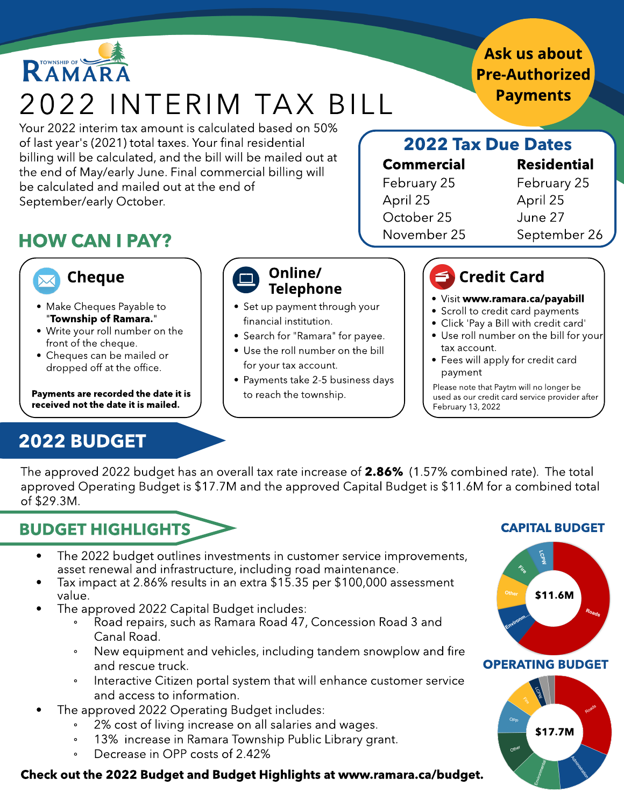# RAMARA 2022 INTERIM TAX BILL

Your 2022 interim tax amount is calculated based on 50% of last year's (2021) total taxes. Your final residential billing will be calculated, and the bill will be mailed out at the end of May/early June. Final commercial billing will be calculated and mailed out at the end of September/early October.

# HOW CAN I PAY? November 25 September 26



- Make Cheques Payable to "Township of Ramara."
- Write your roll number on the front of the cheque.
- Cheques can be mailed or dropped off at the office.

Payments are recorded the date it is received not the date it is mailed.

# 2022 BUDGET

Telephone

- Set up payment through your financial institution.
- Search for "Ramara" for payee.
- 
- Payments take 2-5 business days to reach the township.

### 2022 Tax Due Dates

#### Commercial Residential

February 25 April 25 October 25 November 25 February 25 April 25 June 27

## Credit Card

- . Visit www.ramara.ca/payabill
- Scroll to credit card payments
- Click 'Pay a Bill with credit card'
- Use roll number on the bill for your tax account.
- Fees will apply for credit card payment

Please note that Paytm will no longer be used as our credit card service provider after February 13, 2022

The approved 2022 budget has an overall tax rate increase of 2.86% (1.57% combined rate). The total approved Operating Budget is \$17.7M and the approved Capital Budget is \$11.6M for a combined total of \$29.3M.

# BUDGET HIGHLIGHTS

- The 2022 budget outlines investments in customer service improvements, asset renewal and infrastructure, including road maintenance.
- Tax impact at 2.86% results in an extra \$15.35 per \$100,000 assessment value.
- The approved 2022 Capital Budget includes:
	- Road repairs, such as Ramara Road 47, Concession Road 3 and Canal Road.
	- New equipment and vehicles, including tandem snowplow and fire and rescue truck.
	- Interactive Citizen portal system that will enhance customer service and access to information.
	- The approved 2022 Operating Budget includes:
		- 2% cost of living increase on all salaries and wages.
		- 13% increase in Ramara Township Public Library grant.
		- Decrease in OPP costs of 2.42%

#### Check out the 2022 Budget and Budget Highlights at www.ramara.ca/budget.

#### CAPITAL BUDGET



#### OPERATING BUDGET



### Ask us about **Pre-Authorized Payments**



- 
- 
- 
- Use the roll number on the bill for your tax account.
-